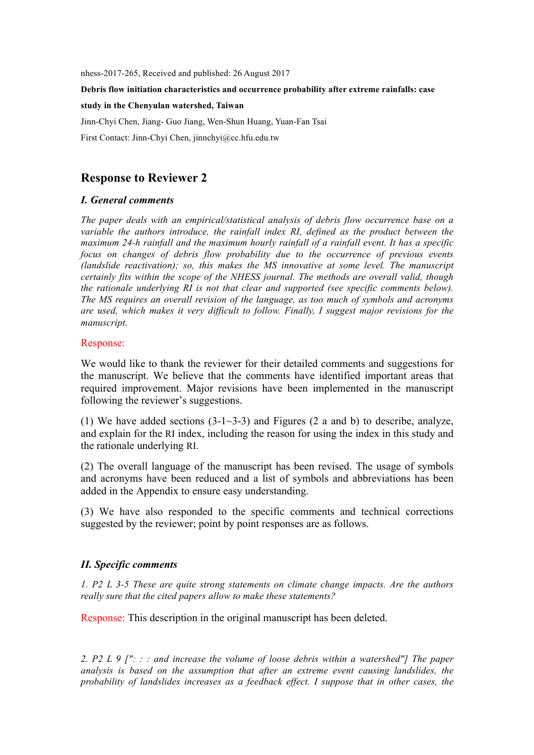nhess-2017-265, Received and published: 26 August 2017

**Debris flow initiation characteristics and occurrence probability after extreme rainfalls: case** 

**study in the Chenyulan watershed, Taiwan**

Jinn-Chyi Chen, Jiang- Guo Jiang, Wen-Shun Huang, Yuan-Fan Tsai

First Contact: Jinn-Chyi Chen, jinnchyi@cc.hfu.edu.tw

# **Response to Reviewer 2**

### *I. General comments*

*The paper deals with an empirical/statistical analysis of debris flow occurrence base on a variable the authors introduce, the rainfall index RI, defined as the product between the maximum 24-h rainfall and the maximum hourly rainfall of a rainfall event. It has a specific focus on changes of debris flow probability due to the occurrence of previous events (landslide reactivation); so, this makes the MS innovative at some level. The manuscript certainly fits within the scope of the NHESS journal. The methods are overall valid, though the rationale underlying RI is not that clear and supported (see specific comments below). The MS requires an overall revision of the language, as too much of symbols and acronyms are used, which makes it very difficult to follow. Finally, I suggest major revisions for the manuscript.*

### Response:

We would like to thank the reviewer for their detailed comments and suggestions for the manuscript. We believe that the comments have identified important areas that required improvement. Major revisions have been implemented in the manuscript following the reviewer's suggestions.

(1) We have added sections  $(3-1-3-3)$  and Figures  $(2 \text{ a and b})$  to describe, analyze, and explain for the RI index, including the reason for using the index in this study and the rationale underlying RI.

(2) The overall language of the manuscript has been revised. The usage of symbols and acronyms have been reduced and a list of symbols and abbreviations has been added in the Appendix to ensure easy understanding.

(3) We have also responded to the specific comments and technical corrections suggested by the reviewer; point by point responses are as follows.

# *II. Specific comments*

*1. P2 L 3-5 These are quite strong statements on climate change impacts. Are the authors really sure that the cited papers allow to make these statements?*

Response: This description in the original manuscript has been deleted.

*2. P2 L 9 [": : : and increase the volume of loose debris within a watershed"] The paper analysis is based on the assumption that after an extreme event causing landslides, the probability of landslides increases as a feedback effect. I suppose that in other cases, the*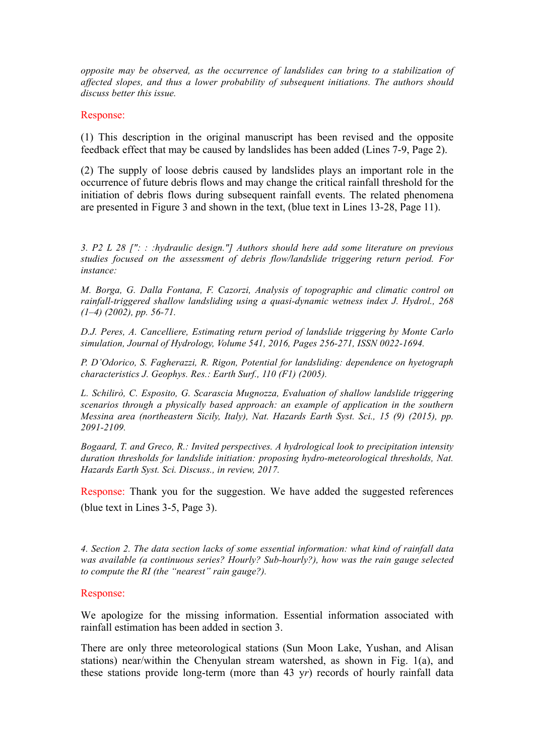*opposite may be observed, as the occurrence of landslides can bring to a stabilization of affected slopes, and thus a lower probability of subsequent initiations. The authors should discuss better this issue.*

Response:

(1) This description in the original manuscript has been revised and the opposite feedback effect that may be caused by landslides has been added (Lines 7-9, Page 2).

(2) The supply of loose debris caused by landslides plays an important role in the occurrence of future debris flows and may change the critical rainfall threshold for the initiation of debris flows during subsequent rainfall events. The related phenomena are presented in Figure 3 and shown in the text, (blue text in Lines 13-28, Page 11).

*3. P2 L 28 [": : :hydraulic design."] Authors should here add some literature on previous studies focused on the assessment of debris flow/landslide triggering return period. For instance:*

*M. Borga, G. Dalla Fontana, F. Cazorzi, Analysis of topographic and climatic control on rainfall-triggered shallow landsliding using a quasi-dynamic wetness index J. Hydrol., 268 (1–4) (2002), pp. 56-71.*

*D.J. Peres, A. Cancelliere, Estimating return period of landslide triggering by Monte Carlo simulation, Journal of Hydrology, Volume 541, 2016, Pages 256-271, ISSN 0022-1694.*

*P. D'Odorico, S. Fagherazzi, R. Rigon, Potential for landsliding: dependence on hyetograph characteristics J. Geophys. Res.: Earth Surf., 110 (F1) (2005).*

*L. Schilirò, C. Esposito, G. Scarascia Mugnozza, Evaluation of shallow landslide triggering scenarios through a physically based approach: an example of application in the southern Messina area (northeastern Sicily, Italy), Nat. Hazards Earth Syst. Sci., 15 (9) (2015), pp. 2091-2109.*

*Bogaard, T. and Greco, R.: Invited perspectives. A hydrological look to precipitation intensity duration thresholds for landslide initiation: proposing hydro-meteorological thresholds, Nat. Hazards Earth Syst. Sci. Discuss., in review, 2017.*

Response: Thank you for the suggestion. We have added the suggested references (blue text in Lines 3-5, Page 3).

*4. Section 2. The data section lacks of some essential information: what kind of rainfall data was available (a continuous series? Hourly? Sub-hourly?), how was the rain gauge selected to compute the RI (the "nearest" rain gauge?).*

### Response:

We apologize for the missing information. Essential information associated with rainfall estimation has been added in section 3.

There are only three meteorological stations (Sun Moon Lake, Yushan, and Alisan stations) near/within the Chenyulan stream watershed, as shown in Fig. 1(a), and these stations provide long-term (more than 43 y*r*) records of hourly rainfall data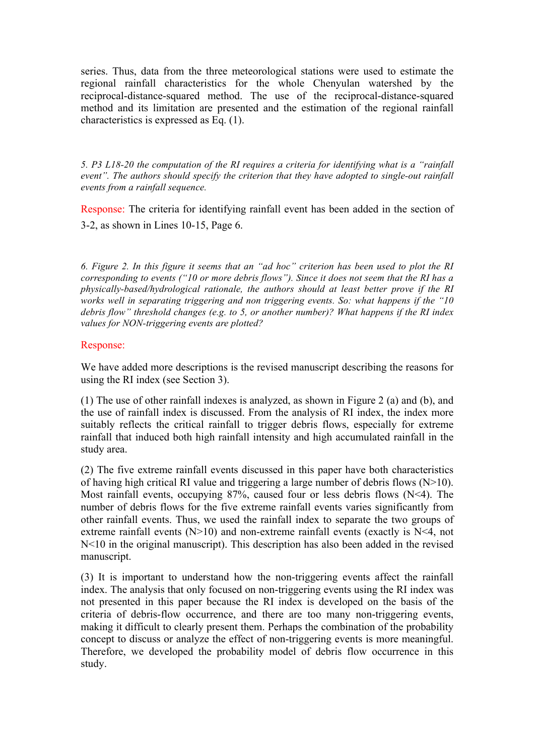series. Thus, data from the three meteorological stations were used to estimate the regional rainfall characteristics for the whole Chenyulan watershed by the reciprocal-distance-squared method. The use of the reciprocal-distance-squared method and its limitation are presented and the estimation of the regional rainfall characteristics is expressed as Eq. (1).

*5. P3 L18-20 the computation of the RI requires a criteria for identifying what is a "rainfall event". The authors should specify the criterion that they have adopted to single-out rainfall events from a rainfall sequence.*

Response: The criteria for identifying rainfall event has been added in the section of 3-2, as shown in Lines 10-15, Page 6.

*6. Figure 2. In this figure it seems that an "ad hoc" criterion has been used to plot the RI corresponding to events ("10 or more debris flows"). Since it does not seem that the RI has a physically-based/hydrological rationale, the authors should at least better prove if the RI works well in separating triggering and non triggering events. So: what happens if the "10 debris flow" threshold changes (e.g. to 5, or another number)? What happens if the RI index values for NON-triggering events are plotted?*

# Response:

We have added more descriptions is the revised manuscript describing the reasons for using the RI index (see Section 3).

(1) The use of other rainfall indexes is analyzed, as shown in Figure 2 (a) and (b), and the use of rainfall index is discussed. From the analysis of RI index, the index more suitably reflects the critical rainfall to trigger debris flows, especially for extreme rainfall that induced both high rainfall intensity and high accumulated rainfall in the study area.

(2) The five extreme rainfall events discussed in this paper have both characteristics of having high critical RI value and triggering a large number of debris flows  $(N>10)$ . Most rainfall events, occupying 87%, caused four or less debris flows (N<4). The number of debris flows for the five extreme rainfall events varies significantly from other rainfall events. Thus, we used the rainfall index to separate the two groups of extreme rainfall events  $(N>10)$  and non-extreme rainfall events (exactly is  $N<4$ , not N<10 in the original manuscript). This description has also been added in the revised manuscript.

(3) It is important to understand how the non-triggering events affect the rainfall index. The analysis that only focused on non-triggering events using the RI index was not presented in this paper because the RI index is developed on the basis of the criteria of debris-flow occurrence, and there are too many non-triggering events, making it difficult to clearly present them. Perhaps the combination of the probability concept to discuss or analyze the effect of non-triggering events is more meaningful. Therefore, we developed the probability model of debris flow occurrence in this study.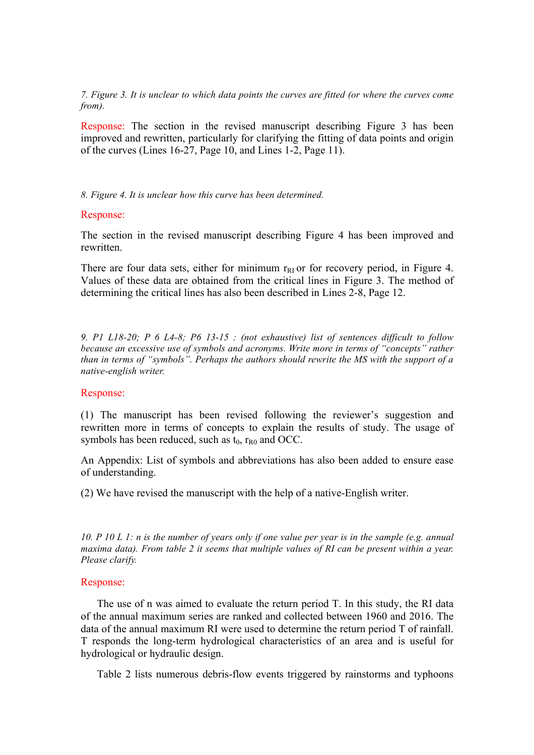*7. Figure 3. It is unclear to which data points the curves are fitted (or where the curves come from).*

Response: The section in the revised manuscript describing Figure 3 has been improved and rewritten, particularly for clarifying the fitting of data points and origin of the curves (Lines 16-27, Page 10, and Lines 1-2, Page 11).

#### *8. Figure 4. It is unclear how this curve has been determined.*

#### Response:

The section in the revised manuscript describing Figure 4 has been improved and rewritten.

There are four data sets, either for minimum  $r_{RI}$  or for recovery period, in Figure 4. Values of these data are obtained from the critical lines in Figure 3. The method of determining the critical lines has also been described in Lines 2-8, Page 12.

*9. P1 L18-20; P 6 L4-8; P6 13-15 : (not exhaustive) list of sentences difficult to follow because an excessive use of symbols and acronyms. Write more in terms of "concepts" rather than in terms of "symbols". Perhaps the authors should rewrite the MS with the support of a native-english writer.*

## Response:

(1) The manuscript has been revised following the reviewer's suggestion and rewritten more in terms of concepts to explain the results of study. The usage of symbols has been reduced, such as  $t_0$ ,  $r_{R0}$  and OCC.

An Appendix: List of symbols and abbreviations has also been added to ensure ease of understanding.

(2) We have revised the manuscript with the help of a native-English writer.

*10. P 10 L 1: n is the number of years only if one value per year is in the sample (e.g. annual maxima data). From table 2 it seems that multiple values of RI can be present within a year. Please clarify.*

### Response:

 The use of n was aimed to evaluate the return period T. In this study, the RI data of the annual maximum series are ranked and collected between 1960 and 2016. The data of the annual maximum RI were used to determine the return period T of rainfall. T responds the long-term hydrological characteristics of an area and is useful for hydrological or hydraulic design.

Table 2 lists numerous debris-flow events triggered by rainstorms and typhoons